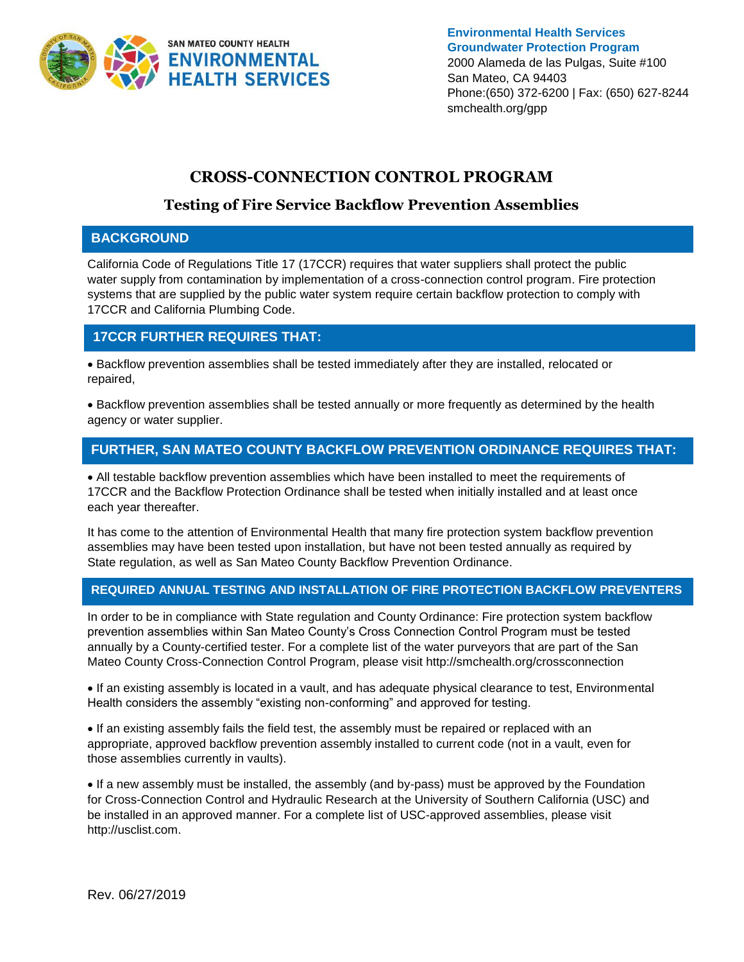

**Environmental Health Services Groundwater Protection Program** 2000 Alameda de las Pulgas, Suite #100 San Mateo, CA 94403 Phone:(650) 372-6200 | Fax: (650) 627-8244 smchealth.org/gpp

# **CROSS-CONNECTION CONTROL PROGRAM**

# **Testing of Fire Service Backflow Prevention Assemblies**

#### **BACKGROUND**

California Code of Regulations Title 17 (17CCR) requires that water suppliers shall protect the public water supply from contamination by implementation of a cross-connection control program. Fire protection systems that are supplied by the public water system require certain backflow protection to comply with 17CCR and California Plumbing Code.

### **17CCR FURTHER REQUIRES THAT:**

• Backflow prevention assemblies shall be tested immediately after they are installed, relocated or repaired,

• Backflow prevention assemblies shall be tested annually or more frequently as determined by the health agency or water supplier.

## **FURTHER, SAN MATEO COUNTY BACKFLOW PREVENTION ORDINANCE REQUIRES THAT:**

• All testable backflow prevention assemblies which have been installed to meet the requirements of 17CCR and the Backflow Protection Ordinance shall be tested when initially installed and at least once each year thereafter.

It has come to the attention of Environmental Health that many fire protection system backflow prevention assemblies may have been tested upon installation, but have not been tested annually as required by State regulation, as well as San Mateo County Backflow Prevention Ordinance.

#### **REQUIRED ANNUAL TESTING AND INSTALLATION OF FIRE PROTECTION BACKFLOW PREVENTERS**

In order to be in compliance with State regulation and County Ordinance: Fire protection system backflow prevention assemblies within San Mateo County's Cross Connection Control Program must be tested annually by a County-certified tester. For a complete list of the water purveyors that are part of the San Mateo County Cross-Connection Control Program, please visit http://smchealth.org/crossconnection

• If an existing assembly is located in a vault, and has adequate physical clearance to test, Environmental Health considers the assembly "existing non-conforming" and approved for testing.

• If an existing assembly fails the field test, the assembly must be repaired or replaced with an appropriate, approved backflow prevention assembly installed to current code (not in a vault, even for those assemblies currently in vaults).

• If a new assembly must be installed, the assembly (and by-pass) must be approved by the Foundation for Cross-Connection Control and Hydraulic Research at the University of Southern California (USC) and be installed in an approved manner. For a complete list of USC-approved assemblies, please visit http://usclist.com.